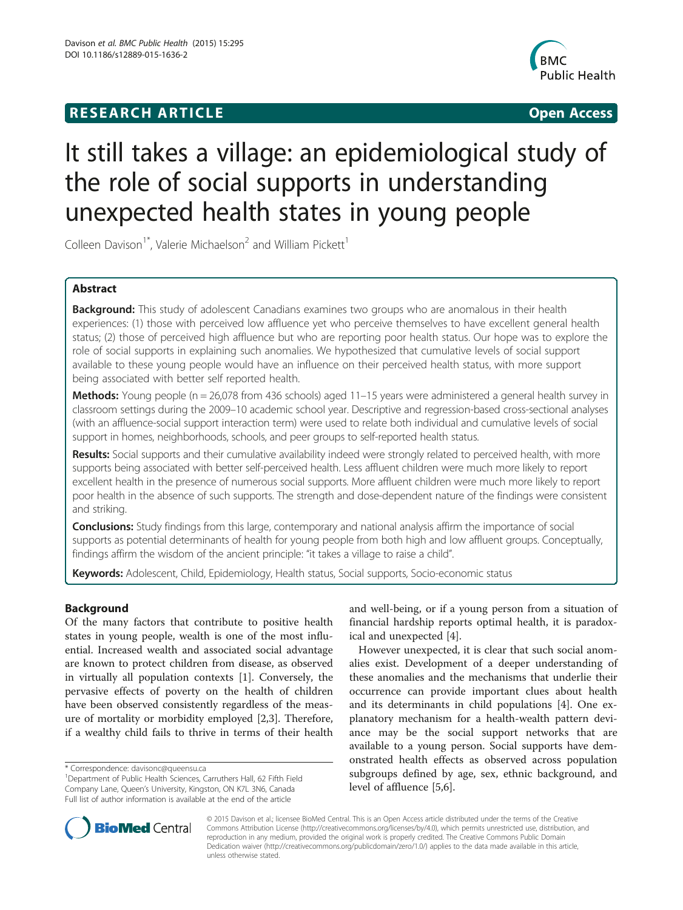# **RESEARCH ARTICLE CONSUMING A RESEARCH ARTICLE**



# It still takes a village: an epidemiological study of the role of social supports in understanding unexpected health states in young people

Colleen Davison<sup>1\*</sup>, Valerie Michaelson<sup>2</sup> and William Pickett<sup>1</sup>

# Abstract

Background: This study of adolescent Canadians examines two groups who are anomalous in their health experiences: (1) those with perceived low affluence yet who perceive themselves to have excellent general health status; (2) those of perceived high affluence but who are reporting poor health status. Our hope was to explore the role of social supports in explaining such anomalies. We hypothesized that cumulative levels of social support available to these young people would have an influence on their perceived health status, with more support being associated with better self reported health.

**Methods:** Young people (n = 26,078 from 436 schools) aged 11–15 years were administered a general health survey in classroom settings during the 2009–10 academic school year. Descriptive and regression-based cross-sectional analyses (with an affluence-social support interaction term) were used to relate both individual and cumulative levels of social support in homes, neighborhoods, schools, and peer groups to self-reported health status.

Results: Social supports and their cumulative availability indeed were strongly related to perceived health, with more supports being associated with better self-perceived health. Less affluent children were much more likely to report excellent health in the presence of numerous social supports. More affluent children were much more likely to report poor health in the absence of such supports. The strength and dose-dependent nature of the findings were consistent and striking.

Conclusions: Study findings from this large, contemporary and national analysis affirm the importance of social supports as potential determinants of health for young people from both high and low affluent groups. Conceptually, findings affirm the wisdom of the ancient principle: "it takes a village to raise a child".

Keywords: Adolescent, Child, Epidemiology, Health status, Social supports, Socio-economic status

# Background

Of the many factors that contribute to positive health states in young people, wealth is one of the most influential. Increased wealth and associated social advantage are known to protect children from disease, as observed in virtually all population contexts [\[1](#page-9-0)]. Conversely, the pervasive effects of poverty on the health of children have been observed consistently regardless of the measure of mortality or morbidity employed [\[2,3](#page-9-0)]. Therefore, if a wealthy child fails to thrive in terms of their health

and well-being, or if a young person from a situation of financial hardship reports optimal health, it is paradoxical and unexpected [\[4](#page-9-0)].

However unexpected, it is clear that such social anomalies exist. Development of a deeper understanding of these anomalies and the mechanisms that underlie their occurrence can provide important clues about health and its determinants in child populations [\[4](#page-9-0)]. One explanatory mechanism for a health-wealth pattern deviance may be the social support networks that are available to a young person. Social supports have demonstrated health effects as observed across population subgroups defined by age, sex, ethnic background, and level of affluence [[5,6\]](#page-9-0).



© 2015 Davison et al.; licensee BioMed Central. This is an Open Access article distributed under the terms of the Creative Commons Attribution License [\(http://creativecommons.org/licenses/by/4.0\)](http://creativecommons.org/licenses/by/4.0), which permits unrestricted use, distribution, and reproduction in any medium, provided the original work is properly credited. The Creative Commons Public Domain Dedication waiver [\(http://creativecommons.org/publicdomain/zero/1.0/](http://creativecommons.org/publicdomain/zero/1.0/)) applies to the data made available in this article, unless otherwise stated.

<sup>\*</sup> Correspondence: [davisonc@queensu.ca](mailto:davisonc@queensu.ca) <sup>1</sup>

<sup>&</sup>lt;sup>1</sup>Department of Public Health Sciences, Carruthers Hall, 62 Fifth Field Company Lane, Queen's University, Kingston, ON K7L 3N6, Canada Full list of author information is available at the end of the article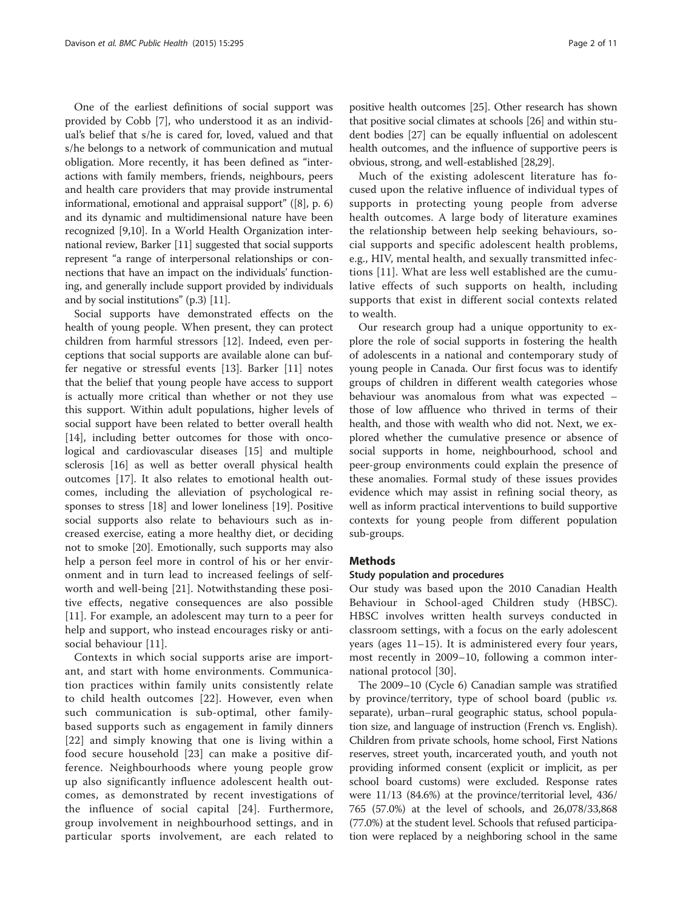One of the earliest definitions of social support was provided by Cobb [[7](#page-9-0)], who understood it as an individual's belief that s/he is cared for, loved, valued and that s/he belongs to a network of communication and mutual obligation. More recently, it has been defined as "interactions with family members, friends, neighbours, peers and health care providers that may provide instrumental informational, emotional and appraisal support" ([\[8](#page-9-0)], p. 6) and its dynamic and multidimensional nature have been recognized [[9,10](#page-9-0)]. In a World Health Organization international review, Barker [\[11\]](#page-9-0) suggested that social supports represent "a range of interpersonal relationships or connections that have an impact on the individuals' functioning, and generally include support provided by individuals and by social institutions" (p.3) [[11\]](#page-9-0).

Social supports have demonstrated effects on the health of young people. When present, they can protect children from harmful stressors [\[12](#page-9-0)]. Indeed, even perceptions that social supports are available alone can buffer negative or stressful events [\[13\]](#page-9-0). Barker [[11\]](#page-9-0) notes that the belief that young people have access to support is actually more critical than whether or not they use this support. Within adult populations, higher levels of social support have been related to better overall health [[14\]](#page-9-0), including better outcomes for those with oncological and cardiovascular diseases [\[15](#page-10-0)] and multiple sclerosis [\[16\]](#page-10-0) as well as better overall physical health outcomes [[17\]](#page-10-0). It also relates to emotional health outcomes, including the alleviation of psychological responses to stress [[18](#page-10-0)] and lower loneliness [\[19](#page-10-0)]. Positive social supports also relate to behaviours such as increased exercise, eating a more healthy diet, or deciding not to smoke [\[20](#page-10-0)]. Emotionally, such supports may also help a person feel more in control of his or her environment and in turn lead to increased feelings of selfworth and well-being [[21](#page-10-0)]. Notwithstanding these positive effects, negative consequences are also possible [[11\]](#page-9-0). For example, an adolescent may turn to a peer for help and support, who instead encourages risky or antisocial behaviour [\[11](#page-9-0)].

Contexts in which social supports arise are important, and start with home environments. Communication practices within family units consistently relate to child health outcomes [[22\]](#page-10-0). However, even when such communication is sub-optimal, other familybased supports such as engagement in family dinners [[22](#page-10-0)] and simply knowing that one is living within a food secure household [[23](#page-10-0)] can make a positive difference. Neighbourhoods where young people grow up also significantly influence adolescent health outcomes, as demonstrated by recent investigations of the influence of social capital [[24](#page-10-0)]. Furthermore, group involvement in neighbourhood settings, and in particular sports involvement, are each related to

positive health outcomes [[25](#page-10-0)]. Other research has shown that positive social climates at schools [\[26\]](#page-10-0) and within student bodies [[27](#page-10-0)] can be equally influential on adolescent health outcomes, and the influence of supportive peers is obvious, strong, and well-established [\[28,29](#page-10-0)].

Much of the existing adolescent literature has focused upon the relative influence of individual types of supports in protecting young people from adverse health outcomes. A large body of literature examines the relationship between help seeking behaviours, social supports and specific adolescent health problems, e.g., HIV, mental health, and sexually transmitted infections [[11\]](#page-9-0). What are less well established are the cumulative effects of such supports on health, including supports that exist in different social contexts related to wealth.

Our research group had a unique opportunity to explore the role of social supports in fostering the health of adolescents in a national and contemporary study of young people in Canada. Our first focus was to identify groups of children in different wealth categories whose behaviour was anomalous from what was expected – those of low affluence who thrived in terms of their health, and those with wealth who did not. Next, we explored whether the cumulative presence or absence of social supports in home, neighbourhood, school and peer-group environments could explain the presence of these anomalies. Formal study of these issues provides evidence which may assist in refining social theory, as well as inform practical interventions to build supportive contexts for young people from different population sub-groups.

# **Methods**

#### Study population and procedures

Our study was based upon the 2010 Canadian Health Behaviour in School-aged Children study (HBSC). HBSC involves written health surveys conducted in classroom settings, with a focus on the early adolescent years (ages 11–15). It is administered every four years, most recently in 2009–10, following a common international protocol [[30\]](#page-10-0).

The 2009–10 (Cycle 6) Canadian sample was stratified by province/territory, type of school board (public vs. separate), urban–rural geographic status, school population size, and language of instruction (French vs. English). Children from private schools, home school, First Nations reserves, street youth, incarcerated youth, and youth not providing informed consent (explicit or implicit, as per school board customs) were excluded. Response rates were 11/13 (84.6%) at the province/territorial level, 436/ 765 (57.0%) at the level of schools, and 26,078/33,868 (77.0%) at the student level. Schools that refused participation were replaced by a neighboring school in the same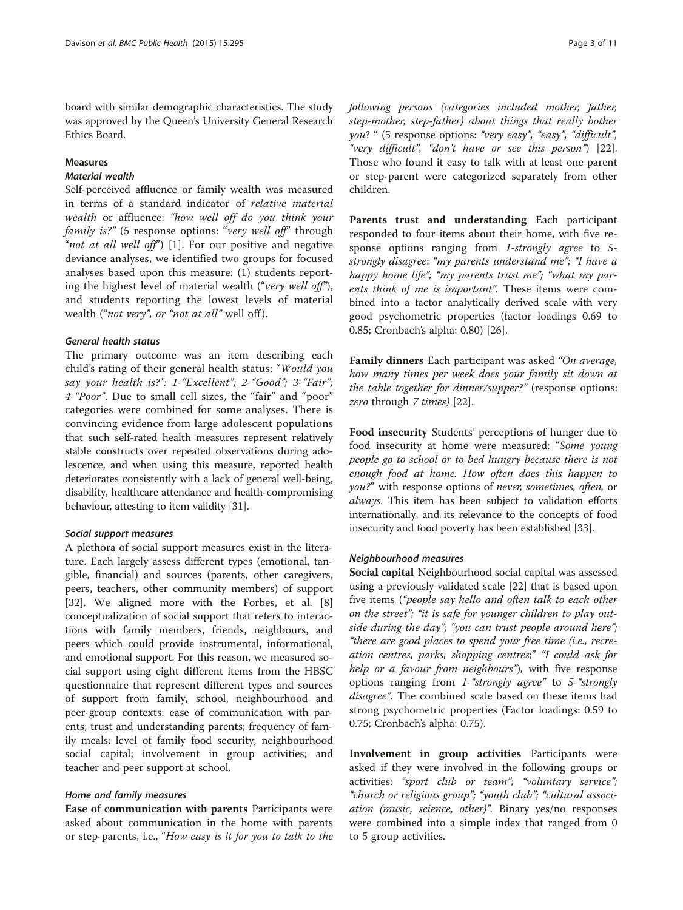board with similar demographic characteristics. The study was approved by the Queen's University General Research Ethics Board.

# **Measures**

# Material wealth

Self-perceived affluence or family wealth was measured in terms of a standard indicator of relative material wealth or affluence: "how well off do you think your family is?" (5 response options: "very well off" through "not at all well off") [\[1](#page-9-0)]. For our positive and negative deviance analyses, we identified two groups for focused analyses based upon this measure: (1) students reporting the highest level of material wealth ("very well off"), and students reporting the lowest levels of material wealth ("not very", or "not at all" well off).

# General health status

The primary outcome was an item describing each child's rating of their general health status: "Would you say your health is?": 1-"Excellent"; 2-"Good"; 3-"Fair"; 4-"Poor". Due to small cell sizes, the "fair" and "poor" categories were combined for some analyses. There is convincing evidence from large adolescent populations that such self-rated health measures represent relatively stable constructs over repeated observations during adolescence, and when using this measure, reported health deteriorates consistently with a lack of general well-being, disability, healthcare attendance and health-compromising behaviour, attesting to item validity [\[31](#page-10-0)].

# Social support measures

A plethora of social support measures exist in the literature. Each largely assess different types (emotional, tangible, financial) and sources (parents, other caregivers, peers, teachers, other community members) of support [[32\]](#page-10-0). We aligned more with the Forbes, et al. [\[8](#page-9-0)] conceptualization of social support that refers to interactions with family members, friends, neighbours, and peers which could provide instrumental, informational, and emotional support. For this reason, we measured social support using eight different items from the HBSC questionnaire that represent different types and sources of support from family, school, neighbourhood and peer-group contexts: ease of communication with parents; trust and understanding parents; frequency of family meals; level of family food security; neighbourhood social capital; involvement in group activities; and teacher and peer support at school.

# Home and family measures

Ease of communication with parents Participants were asked about communication in the home with parents or step-parents, i.e., "How easy is it for you to talk to the following persons (categories included mother, father, step-mother, step-father) about things that really bother you? " (5 response options: "very easy", "easy", "difficult", "very difficult", "don't have or see this person") [\[22](#page-10-0)]. Those who found it easy to talk with at least one parent or step-parent were categorized separately from other children.

Parents trust and understanding Each participant responded to four items about their home, with five response options ranging from 1-strongly agree to 5strongly disagree: "my parents understand me"; "I have a happy home life"; "my parents trust me"; "what my parents think of me is important". These items were combined into a factor analytically derived scale with very good psychometric properties (factor loadings 0.69 to 0.85; Cronbach's alpha: 0.80) [[26\]](#page-10-0).

Family dinners Each participant was asked "On average, how many times per week does your family sit down at the table together for dinner/supper?" (response options: zero through 7 times) [\[22](#page-10-0)].

Food insecurity Students' perceptions of hunger due to food insecurity at home were measured: "Some young people go to school or to bed hungry because there is not enough food at home. How often does this happen to you?" with response options of never, sometimes, often, or always. This item has been subject to validation efforts internationally, and its relevance to the concepts of food insecurity and food poverty has been established [[33](#page-10-0)].

#### Neighbourhood measures

Social capital Neighbourhood social capital was assessed using a previously validated scale [[22\]](#page-10-0) that is based upon five items ("people say hello and often talk to each other on the street"; "it is safe for younger children to play outside during the day"; "you can trust people around here"; "there are good places to spend your free time (i.e., recreation centres, parks, shopping centres;" "I could ask for help or a favour from neighbours"), with five response options ranging from 1-"strongly agree" to 5-"strongly disagree". The combined scale based on these items had strong psychometric properties (Factor loadings: 0.59 to 0.75; Cronbach's alpha: 0.75).

Involvement in group activities Participants were asked if they were involved in the following groups or activities: "sport club or team"; "voluntary service"; "church or religious group"; "youth club"; "cultural association (music, science, other)". Binary yes/no responses were combined into a simple index that ranged from 0 to 5 group activities.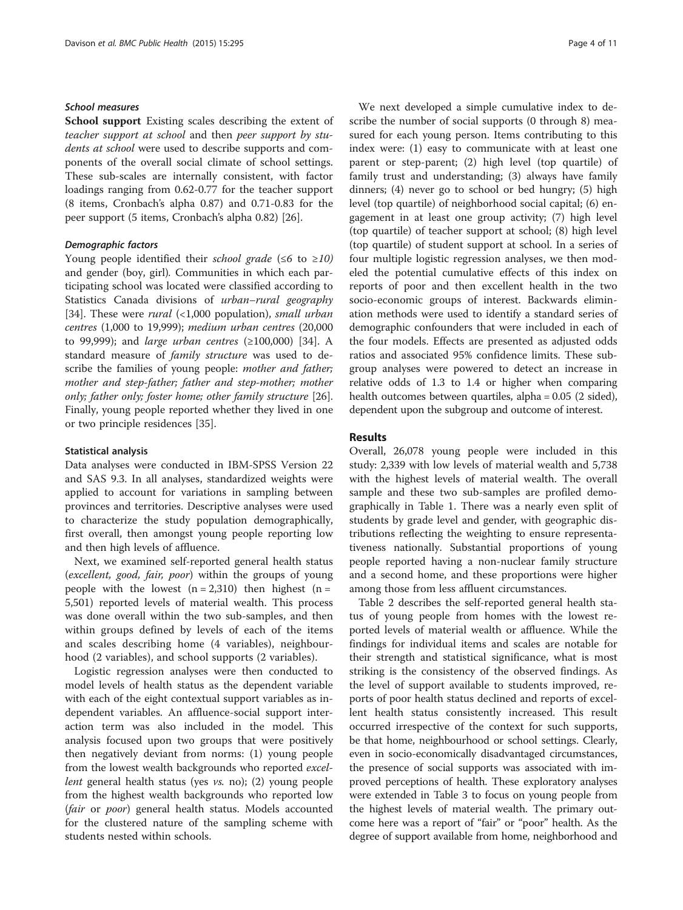#### School measures

School support Existing scales describing the extent of teacher support at school and then peer support by students at school were used to describe supports and components of the overall social climate of school settings. These sub-scales are internally consistent, with factor loadings ranging from 0.62-0.77 for the teacher support (8 items, Cronbach's alpha 0.87) and 0.71-0.83 for the peer support (5 items, Cronbach's alpha 0.82) [[26\]](#page-10-0).

#### Demographic factors

Young people identified their *school grade* ( $\leq 6$  to  $\geq 10$ ) and gender (boy, girl). Communities in which each participating school was located were classified according to Statistics Canada divisions of urban–rural geography [[34\]](#page-10-0). These were *rural*  $(\langle 1,000 \rangle)$  population), *small urban* centres (1,000 to 19,999); medium urban centres (20,000 to 99,999); and *large urban centres* ( $\geq$ 100,000) [[34\]](#page-10-0). A standard measure of family structure was used to describe the families of young people: *mother and father*; mother and step-father; father and step-mother; mother only; father only; foster home; other family structure [\[26](#page-10-0)]. Finally, young people reported whether they lived in one or two principle residences [[35](#page-10-0)].

#### Statistical analysis

Data analyses were conducted in IBM-SPSS Version 22 and SAS 9.3. In all analyses, standardized weights were applied to account for variations in sampling between provinces and territories. Descriptive analyses were used to characterize the study population demographically, first overall, then amongst young people reporting low and then high levels of affluence.

Next, we examined self-reported general health status (excellent, good, fair, poor) within the groups of young people with the lowest  $(n = 2,310)$  then highest  $(n = 1,310)$ 5,501) reported levels of material wealth. This process was done overall within the two sub-samples, and then within groups defined by levels of each of the items and scales describing home (4 variables), neighbourhood (2 variables), and school supports (2 variables).

Logistic regression analyses were then conducted to model levels of health status as the dependent variable with each of the eight contextual support variables as independent variables. An affluence-social support interaction term was also included in the model. This analysis focused upon two groups that were positively then negatively deviant from norms: (1) young people from the lowest wealth backgrounds who reported excellent general health status (yes vs. no); (2) young people from the highest wealth backgrounds who reported low (*fair* or *poor*) general health status. Models accounted for the clustered nature of the sampling scheme with students nested within schools.

We next developed a simple cumulative index to describe the number of social supports (0 through 8) measured for each young person. Items contributing to this index were: (1) easy to communicate with at least one parent or step-parent; (2) high level (top quartile) of family trust and understanding; (3) always have family dinners; (4) never go to school or bed hungry; (5) high level (top quartile) of neighborhood social capital; (6) engagement in at least one group activity; (7) high level (top quartile) of teacher support at school; (8) high level (top quartile) of student support at school. In a series of four multiple logistic regression analyses, we then modeled the potential cumulative effects of this index on reports of poor and then excellent health in the two socio-economic groups of interest. Backwards elimination methods were used to identify a standard series of demographic confounders that were included in each of the four models. Effects are presented as adjusted odds ratios and associated 95% confidence limits. These subgroup analyses were powered to detect an increase in relative odds of 1.3 to 1.4 or higher when comparing health outcomes between quartiles, alpha = 0.05 (2 sided), dependent upon the subgroup and outcome of interest.

#### Results

Overall, 26,078 young people were included in this study: 2,339 with low levels of material wealth and 5,738 with the highest levels of material wealth. The overall sample and these two sub-samples are profiled demographically in Table [1.](#page-4-0) There was a nearly even split of students by grade level and gender, with geographic distributions reflecting the weighting to ensure representativeness nationally. Substantial proportions of young people reported having a non-nuclear family structure and a second home, and these proportions were higher among those from less affluent circumstances.

Table [2](#page-5-0) describes the self-reported general health status of young people from homes with the lowest reported levels of material wealth or affluence. While the findings for individual items and scales are notable for their strength and statistical significance, what is most striking is the consistency of the observed findings. As the level of support available to students improved, reports of poor health status declined and reports of excellent health status consistently increased. This result occurred irrespective of the context for such supports, be that home, neighbourhood or school settings. Clearly, even in socio-economically disadvantaged circumstances, the presence of social supports was associated with improved perceptions of health. These exploratory analyses were extended in Table [3](#page-6-0) to focus on young people from the highest levels of material wealth. The primary outcome here was a report of "fair" or "poor" health. As the degree of support available from home, neighborhood and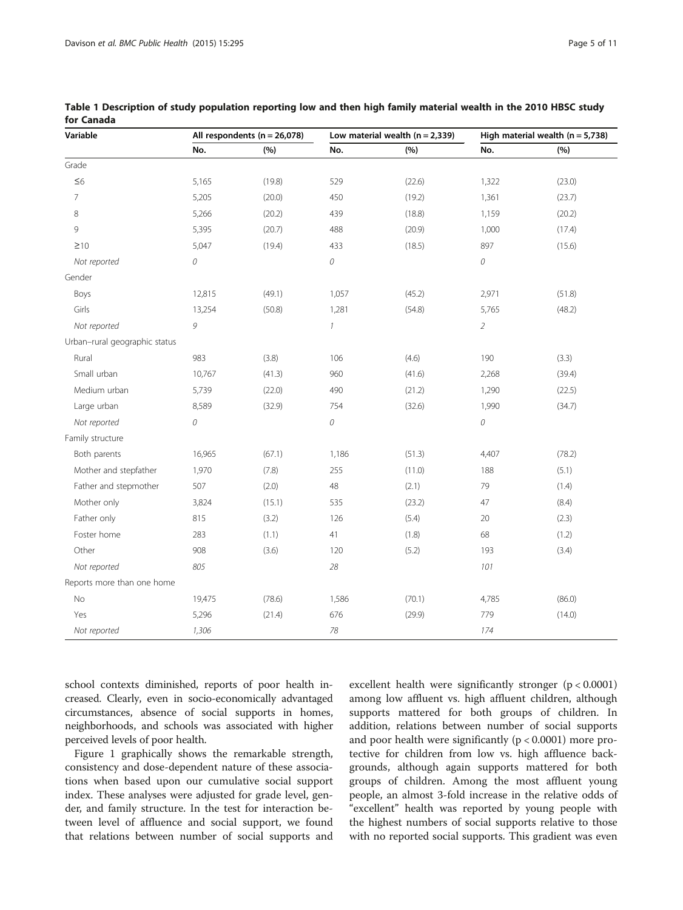| Variable                      | All respondents ( $n = 26,078$ ) |        |               | Low material wealth ( $n = 2,339$ ) | High material wealth ( $n = 5,738$ ) |        |  |
|-------------------------------|----------------------------------|--------|---------------|-------------------------------------|--------------------------------------|--------|--|
|                               | No.                              | (%)    | No.           | (%)                                 | No.                                  | (%)    |  |
| Grade                         |                                  |        |               |                                     |                                      |        |  |
| $\leq 6$                      | 5,165                            | (19.8) | 529           | (22.6)                              | 1,322                                | (23.0) |  |
| 7                             | 5,205                            | (20.0) | 450           | (19.2)                              | 1,361                                | (23.7) |  |
| 8                             | 5,266                            | (20.2) | 439           | (18.8)                              | 1,159                                | (20.2) |  |
| 9                             | 5,395                            | (20.7) | 488           | (20.9)                              | 1,000                                | (17.4) |  |
| $\geq$ 10                     | 5,047                            | (19.4) | 433           | (18.5)                              | 897                                  | (15.6) |  |
| Not reported                  | 0                                |        | 0             |                                     | 0                                    |        |  |
| Gender                        |                                  |        |               |                                     |                                      |        |  |
| Boys                          | 12,815                           | (49.1) | 1,057         | (45.2)                              | 2,971                                | (51.8) |  |
| Girls                         | 13,254                           | (50.8) | 1,281         | (54.8)                              | 5,765                                | (48.2) |  |
| Not reported                  | 9                                |        | $\mathcal{I}$ |                                     | $\overline{a}$                       |        |  |
| Urban-rural geographic status |                                  |        |               |                                     |                                      |        |  |
| Rural                         | 983                              | (3.8)  | 106           | (4.6)                               | 190                                  | (3.3)  |  |
| Small urban                   | 10,767                           | (41.3) | 960           | (41.6)                              | 2,268                                | (39.4) |  |
| Medium urban                  | 5,739                            | (22.0) | 490           | (21.2)                              | 1,290                                | (22.5) |  |
| Large urban                   | 8,589                            | (32.9) | 754           | (32.6)                              | 1,990                                | (34.7) |  |
| Not reported                  | 0                                |        | 0             |                                     | 0                                    |        |  |
| Family structure              |                                  |        |               |                                     |                                      |        |  |
| Both parents                  | 16,965                           | (67.1) | 1,186         | (51.3)                              | 4,407                                | (78.2) |  |
| Mother and stepfather         | 1,970                            | (7.8)  | 255           | (11.0)                              | 188                                  | (5.1)  |  |
| Father and stepmother         | 507                              | (2.0)  | 48            | (2.1)                               | 79                                   | (1.4)  |  |
| Mother only                   | 3,824                            | (15.1) | 535           | (23.2)                              | 47                                   | (8.4)  |  |
| Father only                   | 815                              | (3.2)  | 126           | (5.4)                               | 20                                   | (2.3)  |  |
| Foster home                   | 283                              | (1.1)  | 41            | (1.8)                               | 68                                   | (1.2)  |  |
| Other                         | 908                              | (3.6)  | 120           | (5.2)                               | 193                                  | (3.4)  |  |
| Not reported                  | 805                              |        | 28            |                                     | 101                                  |        |  |
| Reports more than one home    |                                  |        |               |                                     |                                      |        |  |
| No                            | 19,475                           | (78.6) | 1,586         | (70.1)                              | 4,785                                | (86.0) |  |
| Yes                           | 5,296                            | (21.4) | 676           | (29.9)                              | 779                                  | (14.0) |  |
| Not reported                  | 1,306                            |        | $78\,$        |                                     | 174                                  |        |  |

<span id="page-4-0"></span>Table 1 Description of study population reporting low and then high family material wealth in the 2010 HBSC study for Canada

school contexts diminished, reports of poor health increased. Clearly, even in socio-economically advantaged circumstances, absence of social supports in homes, neighborhoods, and schools was associated with higher perceived levels of poor health.

Figure [1](#page-7-0) graphically shows the remarkable strength, consistency and dose-dependent nature of these associations when based upon our cumulative social support index. These analyses were adjusted for grade level, gender, and family structure. In the test for interaction between level of affluence and social support, we found that relations between number of social supports and excellent health were significantly stronger  $(p < 0.0001)$ among low affluent vs. high affluent children, although supports mattered for both groups of children. In addition, relations between number of social supports and poor health were significantly  $(p < 0.0001)$  more protective for children from low vs. high affluence backgrounds, although again supports mattered for both groups of children. Among the most affluent young people, an almost 3-fold increase in the relative odds of "excellent" health was reported by young people with the highest numbers of social supports relative to those with no reported social supports. This gradient was even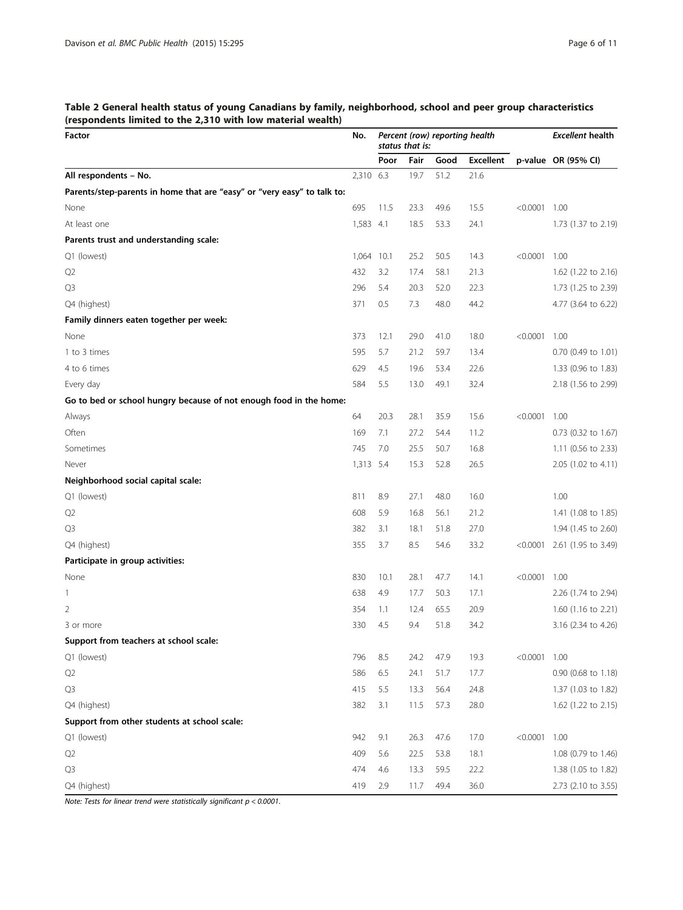# <span id="page-5-0"></span>Table 2 General health status of young Canadians by family, neighborhood, school and peer group characteristics (respondents limited to the 2,310 with low material wealth)

| Factor                                                                  | No.       | Percent (row) reporting health<br>status that is: |      |      |                  | <b>Excellent health</b> |                             |
|-------------------------------------------------------------------------|-----------|---------------------------------------------------|------|------|------------------|-------------------------|-----------------------------|
|                                                                         |           | Poor                                              | Fair | Good | <b>Excellent</b> |                         | p-value OR (95% CI)         |
| All respondents - No.                                                   | 2,310 6.3 |                                                   | 19.7 | 51.2 | 21.6             |                         |                             |
| Parents/step-parents in home that are "easy" or "very easy" to talk to: |           |                                                   |      |      |                  |                         |                             |
| None                                                                    | 695       | 11.5                                              | 23.3 | 49.6 | 15.5             | $< 0.0001$ 1.00         |                             |
| At least one                                                            | 1,583 4.1 |                                                   | 18.5 | 53.3 | 24.1             |                         | 1.73 (1.37 to 2.19)         |
| Parents trust and understanding scale:                                  |           |                                                   |      |      |                  |                         |                             |
| Q1 (lowest)                                                             | 1,064     | 10.1                                              | 25.2 | 50.5 | 14.3             | < 0.0001                | 1.00                        |
| Q2                                                                      | 432       | 3.2                                               | 17.4 | 58.1 | 21.3             |                         | 1.62 (1.22 to 2.16)         |
| Q3                                                                      | 296       | 5.4                                               | 20.3 | 52.0 | 22.3             |                         | 1.73 (1.25 to 2.39)         |
| Q4 (highest)                                                            | 371       | 0.5                                               | 7.3  | 48.0 | 44.2             |                         | 4.77 (3.64 to 6.22)         |
| Family dinners eaten together per week:                                 |           |                                                   |      |      |                  |                         |                             |
| None                                                                    | 373       | 12.1                                              | 29.0 | 41.0 | 18.0             | $< 0.0001$ 1.00         |                             |
| 1 to 3 times                                                            | 595       | 5.7                                               | 21.2 | 59.7 | 13.4             |                         | 0.70 (0.49 to 1.01)         |
| 4 to 6 times                                                            | 629       | 4.5                                               | 19.6 | 53.4 | 22.6             |                         | 1.33 (0.96 to 1.83)         |
| Every day                                                               | 584       | 5.5                                               | 13.0 | 49.1 | 32.4             |                         | 2.18 (1.56 to 2.99)         |
| Go to bed or school hungry because of not enough food in the home:      |           |                                                   |      |      |                  |                         |                             |
| Always                                                                  | 64        | 20.3                                              | 28.1 | 35.9 | 15.6             | $< 0.0001$ 1.00         |                             |
| Often                                                                   | 169       | 7.1                                               | 27.2 | 54.4 | 11.2             |                         | 0.73 (0.32 to 1.67)         |
| Sometimes                                                               | 745       | 7.0                                               | 25.5 | 50.7 | 16.8             |                         | 1.11 (0.56 to 2.33)         |
| Never                                                                   | 1,313 5.4 |                                                   | 15.3 | 52.8 | 26.5             |                         | 2.05 (1.02 to 4.11)         |
| Neighborhood social capital scale:                                      |           |                                                   |      |      |                  |                         |                             |
| Q1 (lowest)                                                             | 811       | 8.9                                               | 27.1 | 48.0 | 16.0             |                         | 1.00                        |
| Q2                                                                      | 608       | 5.9                                               | 16.8 | 56.1 | 21.2             |                         | 1.41 (1.08 to 1.85)         |
| Q3                                                                      | 382       | 3.1                                               | 18.1 | 51.8 | 27.0             |                         | 1.94 (1.45 to 2.60)         |
| Q4 (highest)                                                            | 355       | 3.7                                               | 8.5  | 54.6 | 33.2             |                         | <0.0001 2.61 (1.95 to 3.49) |
| Participate in group activities:                                        |           |                                                   |      |      |                  |                         |                             |
| None                                                                    | 830       | 10.1                                              | 28.1 | 47.7 | 14.1             | $< 0.0001$ 1.00         |                             |
| 1                                                                       | 638       | 4.9                                               | 17.7 | 50.3 | 17.1             |                         | 2.26 (1.74 to 2.94)         |
| 2                                                                       | 354       | 1.1                                               | 12.4 | 65.5 | 20.9             |                         | 1.60 (1.16 to 2.21)         |
| 3 or more                                                               | 330       | 4.5                                               | 9.4  | 51.8 | 34.2             |                         | 3.16 (2.34 to 4.26)         |
| Support from teachers at school scale:                                  |           |                                                   |      |      |                  |                         |                             |
| Q1 (lowest)                                                             | 796       | 8.5                                               | 24.2 | 47.9 | 19.3             | $< 0.0001$ 1.00         |                             |
| Q <sub>2</sub>                                                          | 586       | 6.5                                               | 24.1 | 51.7 | 17.7             |                         | 0.90 (0.68 to 1.18)         |
| Q3                                                                      | 415       | 5.5                                               | 13.3 | 56.4 | 24.8             |                         | 1.37 (1.03 to 1.82)         |
| Q4 (highest)                                                            | 382       | 3.1                                               | 11.5 | 57.3 | 28.0             |                         | 1.62 (1.22 to 2.15)         |
| Support from other students at school scale:                            |           |                                                   |      |      |                  |                         |                             |
| Q1 (lowest)                                                             | 942       | 9.1                                               | 26.3 | 47.6 | 17.0             | $< 0.0001$ 1.00         |                             |
| Q2                                                                      | 409       | 5.6                                               | 22.5 | 53.8 | 18.1             |                         | 1.08 (0.79 to 1.46)         |
| Q3                                                                      | 474       | 4.6                                               | 13.3 | 59.5 | 22.2             |                         | 1.38 (1.05 to 1.82)         |
| Q4 (highest)                                                            | 419       | 2.9                                               | 11.7 | 49.4 | 36.0             |                         | 2.73 (2.10 to 3.55)         |

Note: Tests for linear trend were statistically significant  $p < 0.0001$ .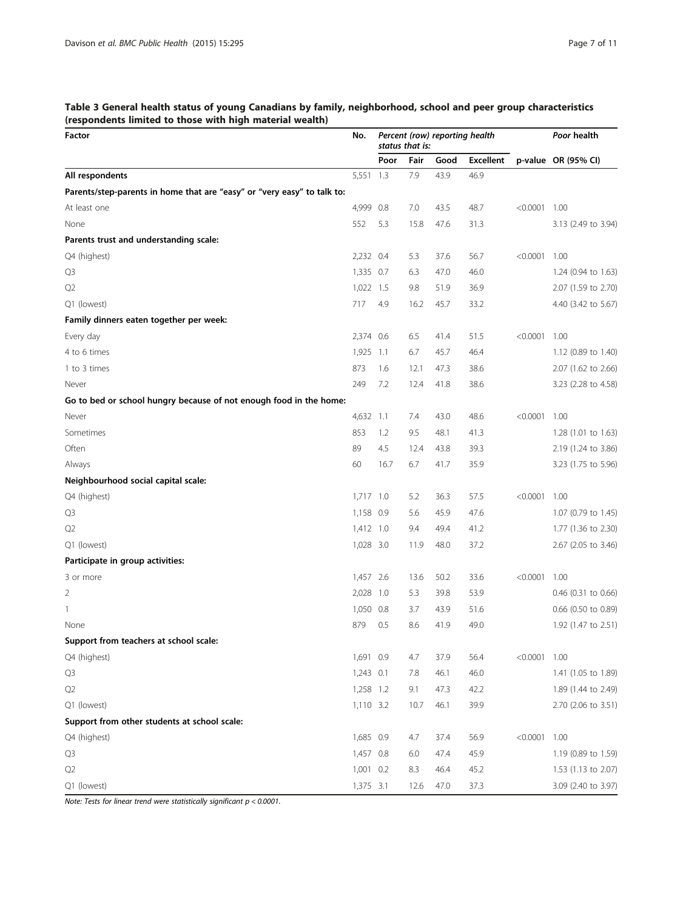# <span id="page-6-0"></span>Table 3 General health status of young Canadians by family, neighborhood, school and peer group characteristics (respondents limited to those with high material wealth)

| Factor                                                                  | No.       | Percent (row) reporting health<br>status that is: |      |      |                  | Poor health     |                     |
|-------------------------------------------------------------------------|-----------|---------------------------------------------------|------|------|------------------|-----------------|---------------------|
|                                                                         |           | Poor                                              | Fair | Good | <b>Excellent</b> |                 | p-value OR (95% CI) |
| All respondents                                                         | 5,551 1.3 |                                                   | 7.9  | 43.9 | 46.9             |                 |                     |
| Parents/step-parents in home that are "easy" or "very easy" to talk to: |           |                                                   |      |      |                  |                 |                     |
| At least one                                                            | 4,999     | 0.8                                               | 7.0  | 43.5 | 48.7             | $< 0.0001$ 1.00 |                     |
| None                                                                    | 552       | 5.3                                               | 15.8 | 47.6 | 31.3             |                 | 3.13 (2.49 to 3.94) |
| Parents trust and understanding scale:                                  |           |                                                   |      |      |                  |                 |                     |
| Q4 (highest)                                                            | 2,232 0.4 |                                                   | 5.3  | 37.6 | 56.7             | < 0.0001        | 1.00                |
| Q <sub>3</sub>                                                          | 1,335 0.7 |                                                   | 6.3  | 47.0 | 46.0             |                 | 1.24 (0.94 to 1.63) |
| Q <sub>2</sub>                                                          | 1,022 1.5 |                                                   | 9.8  | 51.9 | 36.9             |                 | 2.07 (1.59 to 2.70) |
| Q1 (lowest)                                                             | 717       | 4.9                                               | 16.2 | 45.7 | 33.2             |                 | 4.40 (3.42 to 5.67) |
| Family dinners eaten together per week:                                 |           |                                                   |      |      |                  |                 |                     |
| Every day                                                               | 2,374 0.6 |                                                   | 6.5  | 41.4 | 51.5             | < 0.0001        | 1.00                |
| 4 to 6 times                                                            | 1,925     | 1.1                                               | 6.7  | 45.7 | 46.4             |                 | 1.12 (0.89 to 1.40) |
| 1 to 3 times                                                            | 873       | 1.6                                               | 12.1 | 47.3 | 38.6             |                 | 2.07 (1.62 to 2.66) |
| Never                                                                   | 249       | 7.2                                               | 12.4 | 41.8 | 38.6             |                 | 3.23 (2.28 to 4.58) |
| Go to bed or school hungry because of not enough food in the home:      |           |                                                   |      |      |                  |                 |                     |
| Never                                                                   | 4,632 1.1 |                                                   | 7.4  | 43.0 | 48.6             | < 0.0001        | 1.00                |
| Sometimes                                                               | 853       | 1.2                                               | 9.5  | 48.1 | 41.3             |                 | 1.28 (1.01 to 1.63) |
| Often                                                                   | 89        | 4.5                                               | 12.4 | 43.8 | 39.3             |                 | 2.19 (1.24 to 3.86) |
| Always                                                                  | 60        | 16.7                                              | 6.7  | 41.7 | 35.9             |                 | 3.23 (1.75 to 5.96) |
| Neighbourhood social capital scale:                                     |           |                                                   |      |      |                  |                 |                     |
| Q4 (highest)                                                            | 1,717 1.0 |                                                   | 5.2  | 36.3 | 57.5             | < 0.0001        | 1.00                |
| Q <sub>3</sub>                                                          | 1,158 0.9 |                                                   | 5.6  | 45.9 | 47.6             |                 | 1.07 (0.79 to 1.45) |
| Q <sub>2</sub>                                                          | 1,412 1.0 |                                                   | 9.4  | 49.4 | 41.2             |                 | 1.77 (1.36 to 2.30) |
| Q1 (lowest)                                                             | 1,028 3.0 |                                                   | 11.9 | 48.0 | 37.2             |                 | 2.67 (2.05 to 3.46) |
| Participate in group activities:                                        |           |                                                   |      |      |                  |                 |                     |
| 3 or more                                                               | 1,457 2.6 |                                                   | 13.6 | 50.2 | 33.6             | < 0.0001        | 1.00                |
| 2                                                                       | 2,028     | - 1.0                                             | 5.3  | 39.8 | 53.9             |                 | 0.46 (0.31 to 0.66) |
| 1                                                                       | 1,050 0.8 |                                                   | 3.7  | 43.9 | 51.6             |                 | 0.66 (0.50 to 0.89) |
| None                                                                    | 879       | 0.5                                               | 8.6  | 41.9 | 49.0             |                 | 1.92 (1.47 to 2.51) |
| Support from teachers at school scale:                                  |           |                                                   |      |      |                  |                 |                     |
| Q4 (highest)                                                            | 1,691 0.9 |                                                   | 4.7  | 37.9 | 56.4             | $< 0.0001$ 1.00 |                     |
| Q3                                                                      | 1,243 0.1 |                                                   | 7.8  | 46.1 | 46.0             |                 | 1.41 (1.05 to 1.89) |
| Q2                                                                      | 1,258 1.2 |                                                   | 9.1  | 47.3 | 42.2             |                 | 1.89 (1.44 to 2.49) |
| Q1 (lowest)                                                             | 1,110 3.2 |                                                   | 10.7 | 46.1 | 39.9             |                 | 2.70 (2.06 to 3.51) |
| Support from other students at school scale:                            |           |                                                   |      |      |                  |                 |                     |
| Q4 (highest)                                                            | 1,685 0.9 |                                                   | 4.7  | 37.4 | 56.9             | $< 0.0001$ 1.00 |                     |
| Q3                                                                      | 1,457 0.8 |                                                   | 6.0  | 47.4 | 45.9             |                 | 1.19 (0.89 to 1.59) |
| Q2                                                                      | 1,001 0.2 |                                                   | 8.3  | 46.4 | 45.2             |                 | 1.53 (1.13 to 2.07) |
| Q1 (lowest)                                                             | 1,375 3.1 |                                                   | 12.6 | 47.0 | 37.3             |                 | 3.09 (2.40 to 3.97) |

Note: Tests for linear trend were statistically significant  $p < 0.0001$ .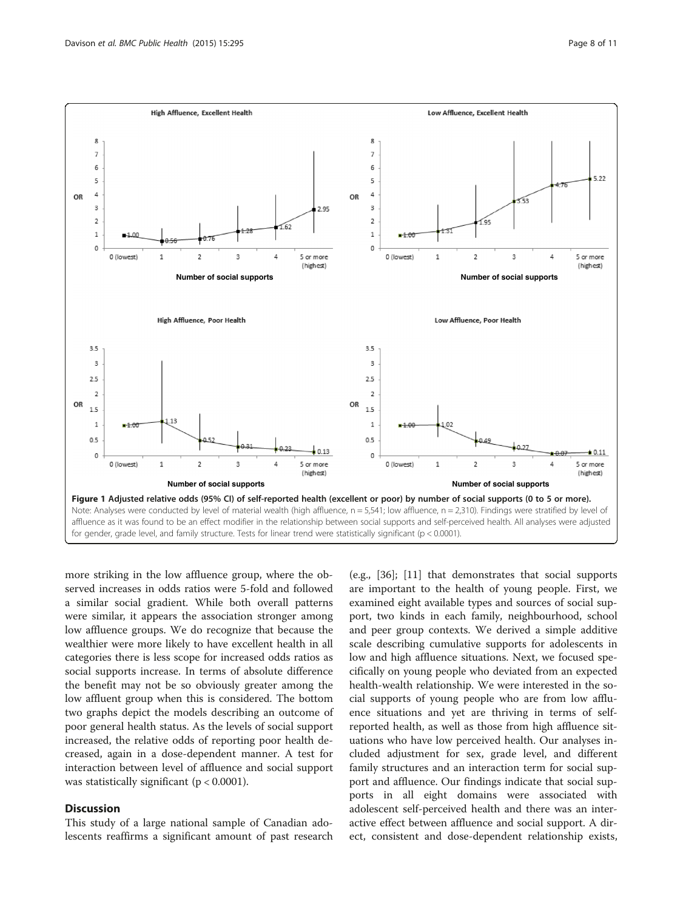<span id="page-7-0"></span>

more striking in the low affluence group, where the observed increases in odds ratios were 5-fold and followed a similar social gradient. While both overall patterns were similar, it appears the association stronger among low affluence groups. We do recognize that because the wealthier were more likely to have excellent health in all categories there is less scope for increased odds ratios as social supports increase. In terms of absolute difference the benefit may not be so obviously greater among the low affluent group when this is considered. The bottom two graphs depict the models describing an outcome of poor general health status. As the levels of social support increased, the relative odds of reporting poor health decreased, again in a dose-dependent manner. A test for interaction between level of affluence and social support was statistically significant ( $p < 0.0001$ ).

# **Discussion**

This study of a large national sample of Canadian adolescents reaffirms a significant amount of past research

(e.g., [[36\]](#page-10-0); [\[11\]](#page-9-0) that demonstrates that social supports are important to the health of young people. First, we examined eight available types and sources of social support, two kinds in each family, neighbourhood, school and peer group contexts. We derived a simple additive scale describing cumulative supports for adolescents in low and high affluence situations. Next, we focused specifically on young people who deviated from an expected health-wealth relationship. We were interested in the social supports of young people who are from low affluence situations and yet are thriving in terms of selfreported health, as well as those from high affluence situations who have low perceived health. Our analyses included adjustment for sex, grade level, and different family structures and an interaction term for social support and affluence. Our findings indicate that social supports in all eight domains were associated with adolescent self-perceived health and there was an interactive effect between affluence and social support. A direct, consistent and dose-dependent relationship exists,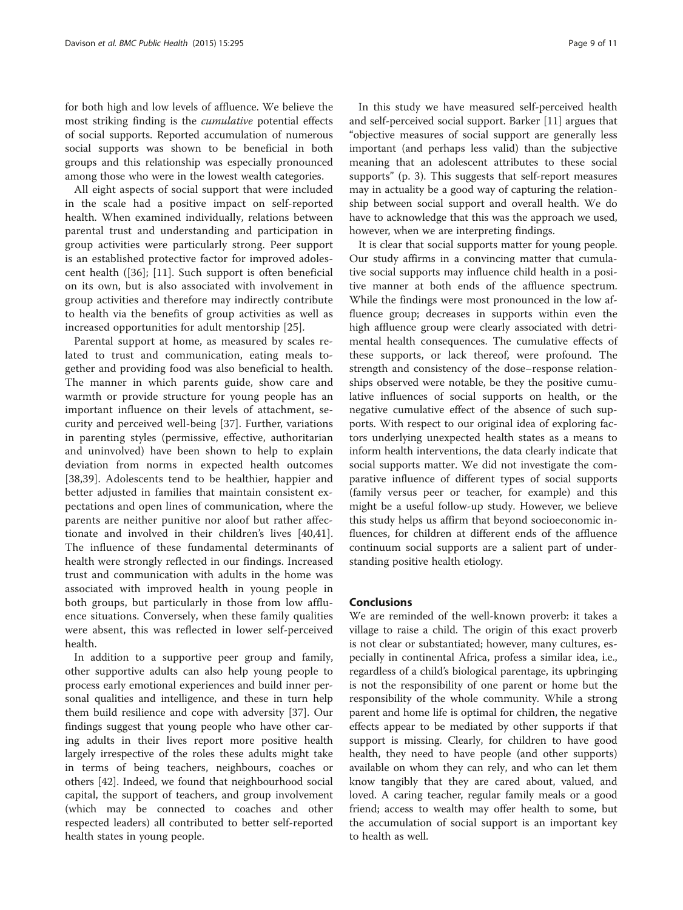for both high and low levels of affluence. We believe the most striking finding is the cumulative potential effects of social supports. Reported accumulation of numerous social supports was shown to be beneficial in both groups and this relationship was especially pronounced among those who were in the lowest wealth categories.

All eight aspects of social support that were included in the scale had a positive impact on self-reported health. When examined individually, relations between parental trust and understanding and participation in group activities were particularly strong. Peer support is an established protective factor for improved adolescent health ([\[36](#page-10-0)]; [[11\]](#page-9-0). Such support is often beneficial on its own, but is also associated with involvement in group activities and therefore may indirectly contribute to health via the benefits of group activities as well as increased opportunities for adult mentorship [\[25](#page-10-0)].

Parental support at home, as measured by scales related to trust and communication, eating meals together and providing food was also beneficial to health. The manner in which parents guide, show care and warmth or provide structure for young people has an important influence on their levels of attachment, security and perceived well-being [\[37](#page-10-0)]. Further, variations in parenting styles (permissive, effective, authoritarian and uninvolved) have been shown to help to explain deviation from norms in expected health outcomes [[38,39](#page-10-0)]. Adolescents tend to be healthier, happier and better adjusted in families that maintain consistent expectations and open lines of communication, where the parents are neither punitive nor aloof but rather affectionate and involved in their children's lives [[40,41](#page-10-0)]. The influence of these fundamental determinants of health were strongly reflected in our findings. Increased trust and communication with adults in the home was associated with improved health in young people in both groups, but particularly in those from low affluence situations. Conversely, when these family qualities were absent, this was reflected in lower self-perceived health.

In addition to a supportive peer group and family, other supportive adults can also help young people to process early emotional experiences and build inner personal qualities and intelligence, and these in turn help them build resilience and cope with adversity [[37\]](#page-10-0). Our findings suggest that young people who have other caring adults in their lives report more positive health largely irrespective of the roles these adults might take in terms of being teachers, neighbours, coaches or others [[42\]](#page-10-0). Indeed, we found that neighbourhood social capital, the support of teachers, and group involvement (which may be connected to coaches and other respected leaders) all contributed to better self-reported health states in young people.

In this study we have measured self-perceived health and self-perceived social support. Barker [\[11](#page-9-0)] argues that "objective measures of social support are generally less important (and perhaps less valid) than the subjective meaning that an adolescent attributes to these social supports" (p. 3). This suggests that self-report measures may in actuality be a good way of capturing the relationship between social support and overall health. We do have to acknowledge that this was the approach we used, however, when we are interpreting findings.

It is clear that social supports matter for young people. Our study affirms in a convincing matter that cumulative social supports may influence child health in a positive manner at both ends of the affluence spectrum. While the findings were most pronounced in the low affluence group; decreases in supports within even the high affluence group were clearly associated with detrimental health consequences. The cumulative effects of these supports, or lack thereof, were profound. The strength and consistency of the dose–response relationships observed were notable, be they the positive cumulative influences of social supports on health, or the negative cumulative effect of the absence of such supports. With respect to our original idea of exploring factors underlying unexpected health states as a means to inform health interventions, the data clearly indicate that social supports matter. We did not investigate the comparative influence of different types of social supports (family versus peer or teacher, for example) and this might be a useful follow-up study. However, we believe this study helps us affirm that beyond socioeconomic influences, for children at different ends of the affluence continuum social supports are a salient part of understanding positive health etiology.

#### Conclusions

We are reminded of the well-known proverb: it takes a village to raise a child. The origin of this exact proverb is not clear or substantiated; however, many cultures, especially in continental Africa, profess a similar idea, i.e., regardless of a child's biological parentage, its upbringing is not the responsibility of one parent or home but the responsibility of the whole community. While a strong parent and home life is optimal for children, the negative effects appear to be mediated by other supports if that support is missing. Clearly, for children to have good health, they need to have people (and other supports) available on whom they can rely, and who can let them know tangibly that they are cared about, valued, and loved. A caring teacher, regular family meals or a good friend; access to wealth may offer health to some, but the accumulation of social support is an important key to health as well.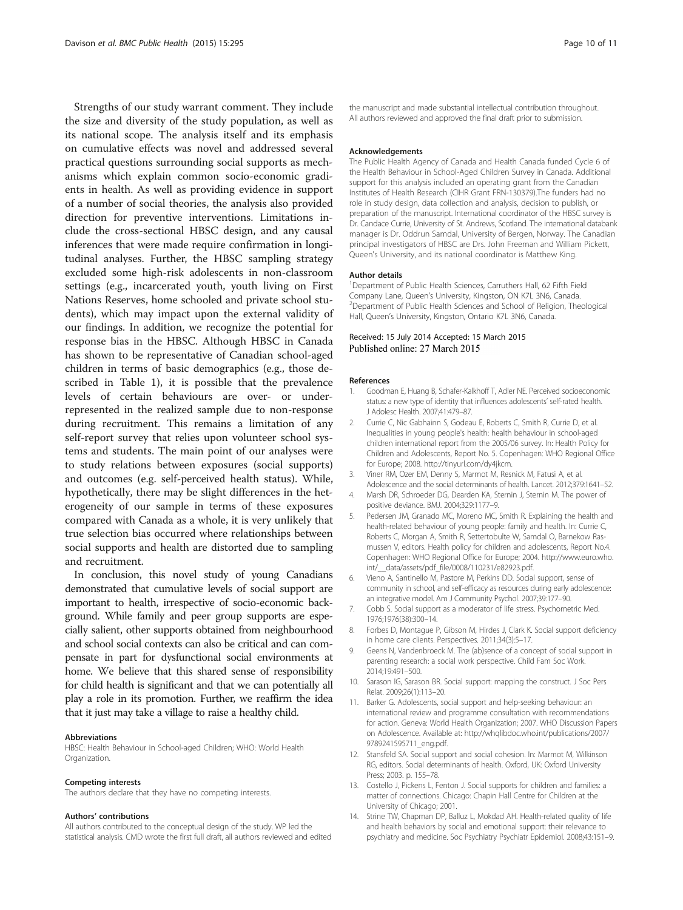<span id="page-9-0"></span>Strengths of our study warrant comment. They include the size and diversity of the study population, as well as its national scope. The analysis itself and its emphasis on cumulative effects was novel and addressed several practical questions surrounding social supports as mechanisms which explain common socio-economic gradients in health. As well as providing evidence in support of a number of social theories, the analysis also provided direction for preventive interventions. Limitations include the cross-sectional HBSC design, and any causal inferences that were made require confirmation in longitudinal analyses. Further, the HBSC sampling strategy excluded some high-risk adolescents in non-classroom settings (e.g., incarcerated youth, youth living on First Nations Reserves, home schooled and private school students), which may impact upon the external validity of our findings. In addition, we recognize the potential for response bias in the HBSC. Although HBSC in Canada has shown to be representative of Canadian school-aged children in terms of basic demographics (e.g., those described in Table [1\)](#page-4-0), it is possible that the prevalence levels of certain behaviours are over- or underrepresented in the realized sample due to non-response during recruitment. This remains a limitation of any self-report survey that relies upon volunteer school systems and students. The main point of our analyses were to study relations between exposures (social supports) and outcomes (e.g. self-perceived health status). While, hypothetically, there may be slight differences in the heterogeneity of our sample in terms of these exposures compared with Canada as a whole, it is very unlikely that true selection bias occurred where relationships between social supports and health are distorted due to sampling and recruitment.

In conclusion, this novel study of young Canadians demonstrated that cumulative levels of social support are important to health, irrespective of socio-economic background. While family and peer group supports are especially salient, other supports obtained from neighbourhood and school social contexts can also be critical and can compensate in part for dysfunctional social environments at home. We believe that this shared sense of responsibility for child health is significant and that we can potentially all play a role in its promotion. Further, we reaffirm the idea that it just may take a village to raise a healthy child.

#### Abbreviations

HBSC: Health Behaviour in School-aged Children; WHO: World Health Organization.

#### Competing interests

The authors declare that they have no competing interests.

#### Authors' contributions

All authors contributed to the conceptual design of the study. WP led the statistical analysis. CMD wrote the first full draft, all authors reviewed and edited

the manuscript and made substantial intellectual contribution throughout. All authors reviewed and approved the final draft prior to submission.

#### Acknowledgements

The Public Health Agency of Canada and Health Canada funded Cycle 6 of the Health Behaviour in School-Aged Children Survey in Canada. Additional support for this analysis included an operating grant from the Canadian Institutes of Health Research (CIHR Grant FRN-130379).The funders had no role in study design, data collection and analysis, decision to publish, or preparation of the manuscript. International coordinator of the HBSC survey is Dr. Candace Currie, University of St. Andrews, Scotland. The international databank manager is Dr. Oddrun Samdal, University of Bergen, Norway. The Canadian principal investigators of HBSC are Drs. John Freeman and William Pickett, Queen's University, and its national coordinator is Matthew King.

#### Author details

<sup>1</sup>Department of Public Health Sciences, Carruthers Hall, 62 Fifth Field Company Lane, Queen's University, Kingston, ON K7L 3N6, Canada. <sup>2</sup> <sup>2</sup>Department of Public Health Sciences and School of Religion, Theological Hall, Queen's University, Kingston, Ontario K7L 3N6, Canada.

#### Received: 15 July 2014 Accepted: 15 March 2015 Published online: 27 March 2015

#### References

- 1. Goodman E, Huang B, Schafer-Kalkhoff T, Adler NE. Perceived socioeconomic status: a new type of identity that influences adolescents' self-rated health. J Adolesc Health. 2007;41:479–87.
- 2. Currie C, Nic Gabhainn S, Godeau E, Roberts C, Smith R, Currie D, et al. Inequalities in young people's health: health behaviour in school-aged children international report from the 2005/06 survey. In: Health Policy for Children and Adolescents, Report No. 5. Copenhagen: WHO Regional Office for Europe; 2008. [http://tinyurl.com/dy4jkcm.](http://tinyurl.com/dy4jkcm)
- 3. Viner RM, Ozer EM, Denny S, Marmot M, Resnick M, Fatusi A, et al. Adolescence and the social determinants of health. Lancet. 2012;379:1641–52.
- 4. Marsh DR, Schroeder DG, Dearden KA, Sternin J, Sternin M. The power of positive deviance. BMJ. 2004;329:1177–9.
- 5. Pedersen JM, Granado MC, Moreno MC, Smith R. Explaining the health and health-related behaviour of young people: family and health. In: Currie C, Roberts C, Morgan A, Smith R, Settertobulte W, Samdal O, Barnekow Rasmussen V, editors. Health policy for children and adolescents, Report No.4. Copenhagen: WHO Regional Office for Europe; 2004. [http://www.euro.who.](http://www.euro.who.int/__data/assets/pdf_file/0008/110231/e82923.pdf) [int/\\_\\_data/assets/pdf\\_file/0008/110231/e82923.pdf.](http://www.euro.who.int/__data/assets/pdf_file/0008/110231/e82923.pdf)
- 6. Vieno A, Santinello M, Pastore M, Perkins DD. Social support, sense of community in school, and self-efficacy as resources during early adolescence: an integrative model. Am J Community Psychol. 2007;39:177–90.
- 7. Cobb S. Social support as a moderator of life stress. Psychometric Med. 1976;1976(38):300–14.
- 8. Forbes D, Montague P, Gibson M, Hirdes J, Clark K. Social support deficiency in home care clients. Perspectives. 2011;34(3):5–17.
- 9. Geens N, Vandenbroeck M. The (ab)sence of a concept of social support in parenting research: a social work perspective. Child Fam Soc Work. 2014;19:491–500.
- 10. Sarason IG, Sarason BR. Social support: mapping the construct. J Soc Pers Relat. 2009;26(1):113–20.
- 11. Barker G. Adolescents, social support and help-seeking behaviour: an international review and programme consultation with recommendations for action. Geneva: World Health Organization; 2007. WHO Discussion Papers on Adolescence. Available at: [http://whqlibdoc.who.int/publications/2007/](http://whqlibdoc.who.int/publications/2007/9789241595711_eng.pdf) [9789241595711\\_eng.pdf](http://whqlibdoc.who.int/publications/2007/9789241595711_eng.pdf).
- 12. Stansfeld SA. Social support and social cohesion. In: Marmot M, Wilkinson RG, editors. Social determinants of health. Oxford, UK: Oxford University Press; 2003. p. 155–78.
- 13. Costello J, Pickens L, Fenton J. Social supports for children and families: a matter of connections. Chicago: Chapin Hall Centre for Children at the University of Chicago; 2001.
- 14. Strine TW, Chapman DP, Balluz L, Mokdad AH. Health-related quality of life and health behaviors by social and emotional support: their relevance to psychiatry and medicine. Soc Psychiatry Psychiatr Epidemiol. 2008;43:151–9.